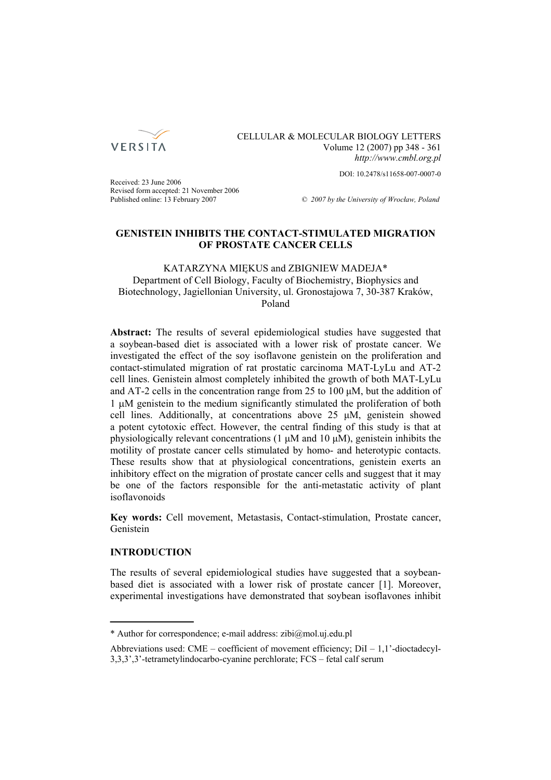

# CELLULAR & MOLECULAR BIOLOGY LETTERS Volume 12 (2007) pp 348 - 361 *http://www.cmbl.org.pl*

DOI: 10.2478/s11658-007-0007-0

Received: 23 June 2006 Revised form accepted: 21 November 2006

Published online: 13 February 2007 *© 2007 by the University of Wrocław, Poland*

# **GENISTEIN INHIBITS THE CONTACT-STIMULATED MIGRATION OF PROSTATE CANCER CELLS**

## KATARZYNA MIĘKUS and ZBIGNIEW MADEJA\* Department of Cell Biology, Faculty of Biochemistry, Biophysics and Biotechnology, Jagiellonian University, ul. Gronostajowa 7, 30-387 Kraków, Poland

**Abstract:** The results of several epidemiological studies have suggested that a soybean-based diet is associated with a lower risk of prostate cancer. We investigated the effect of the soy isoflavone genistein on the proliferation and contact-stimulated migration of rat prostatic carcinoma MAT-LyLu and AT-2 cell lines. Genistein almost completely inhibited the growth of both MAT-LyLu and AT-2 cells in the concentration range from 25 to 100 μM, but the addition of 1 μM genistein to the medium significantly stimulated the proliferation of both cell lines. Additionally, at concentrations above 25 μM, genistein showed a potent cytotoxic effect. However, the central finding of this study is that at physiologically relevant concentrations (1 μM and 10 μM), genistein inhibits the motility of prostate cancer cells stimulated by homo- and heterotypic contacts. These results show that at physiological concentrations, genistein exerts an inhibitory effect on the migration of prostate cancer cells and suggest that it may be one of the factors responsible for the anti-metastatic activity of plant isoflavonoids

**Key words:** Cell movement, Metastasis, Contact-stimulation, Prostate cancer, Genistein

# **INTRODUCTION**

The results of several epidemiological studies have suggested that a soybeanbased diet is associated with a lower risk of prostate cancer [1]. Moreover, experimental investigations have demonstrated that soybean isoflavones inhibit

<sup>\*</sup> Author for correspondence; e-mail address: zibi@mol.uj.edu.pl

Abbreviations used: CME – coefficient of movement efficiency;  $DiI - 1,1'$ -dioctadecyl-3,3,3',3'-tetrametylindocarbo-cyanine perchlorate; FCS – fetal calf serum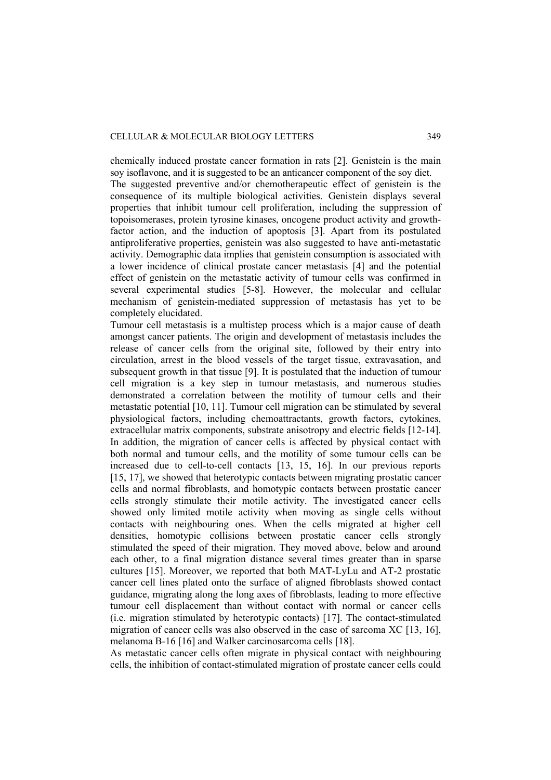chemically induced prostate cancer formation in rats [2]. Genistein is the main soy isoflavone, and it is suggested to be an anticancer component of the soy diet. The suggested preventive and/or chemotherapeutic effect of genistein is the consequence of its multiple biological activities. Genistein displays several properties that inhibit tumour cell proliferation, including the suppression of topoisomerases, protein tyrosine kinases, oncogene product activity and growthfactor action, and the induction of apoptosis [3]. Apart from its postulated antiproliferative properties, genistein was also suggested to have anti-metastatic activity. Demographic data implies that genistein consumption is associated with a lower incidence of clinical prostate cancer metastasis [4] and the potential effect of genistein on the metastatic activity of tumour cells was confirmed in several experimental studies [5-8]. However, the molecular and cellular mechanism of genistein-mediated suppression of metastasis has yet to be completely elucidated.

Tumour cell metastasis is a multistep process which is a major cause of death amongst cancer patients. The origin and development of metastasis includes the release of cancer cells from the original site, followed by their entry into circulation, arrest in the blood vessels of the target tissue, extravasation, and subsequent growth in that tissue [9]. It is postulated that the induction of tumour cell migration is a key step in tumour metastasis, and numerous studies demonstrated a correlation between the motility of tumour cells and their metastatic potential [10, 11]. Tumour cell migration can be stimulated by several physiological factors, including chemoattractants, growth factors, cytokines, extracellular matrix components, substrate anisotropy and electric fields [12-14]. In addition, the migration of cancer cells is affected by physical contact with both normal and tumour cells, and the motility of some tumour cells can be increased due to cell-to-cell contacts [13, 15, 16]. In our previous reports [15, 17], we showed that heterotypic contacts between migrating prostatic cancer cells and normal fibroblasts, and homotypic contacts between prostatic cancer cells strongly stimulate their motile activity. The investigated cancer cells showed only limited motile activity when moving as single cells without contacts with neighbouring ones. When the cells migrated at higher cell densities, homotypic collisions between prostatic cancer cells strongly stimulated the speed of their migration. They moved above, below and around each other, to a final migration distance several times greater than in sparse cultures [15]. Moreover, we reported that both MAT-LyLu and AT-2 prostatic cancer cell lines plated onto the surface of aligned fibroblasts showed contact guidance, migrating along the long axes of fibroblasts, leading to more effective tumour cell displacement than without contact with normal or cancer cells (i.e. migration stimulated by heterotypic contacts) [17]. The contact-stimulated migration of cancer cells was also observed in the case of sarcoma XC [13, 16], melanoma B-16 [16] and Walker carcinosarcoma cells [18].

As metastatic cancer cells often migrate in physical contact with neighbouring cells, the inhibition of contact-stimulated migration of prostate cancer cells could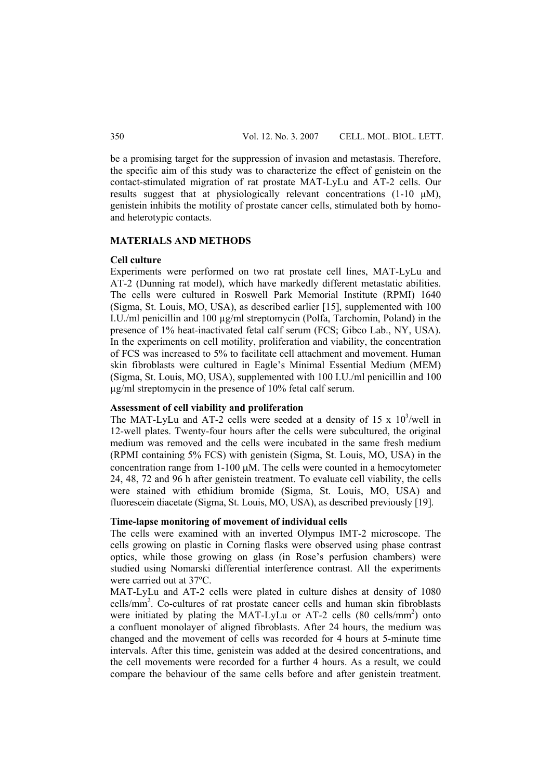be a promising target for the suppression of invasion and metastasis. Therefore, the specific aim of this study was to characterize the effect of genistein on the contact-stimulated migration of rat prostate MAT-LyLu and AT-2 cells. Our results suggest that at physiologically relevant concentrations (1-10 μM), genistein inhibits the motility of prostate cancer cells, stimulated both by homoand heterotypic contacts.

## **MATERIALS AND METHODS**

### **Cell culture**

Experiments were performed on two rat prostate cell lines, MAT-LyLu and AT-2 (Dunning rat model), which have markedly different metastatic abilities. The cells were cultured in Roswell Park Memorial Institute (RPMI) 1640 (Sigma, St. Louis, MO, USA), as described earlier [15], supplemented with 100 I.U./ml penicillin and 100 µg/ml streptomycin (Polfa, Tarchomin, Poland) in the presence of 1% heat-inactivated fetal calf serum (FCS; Gibco Lab., NY, USA). In the experiments on cell motility, proliferation and viability, the concentration of FCS was increased to 5% to facilitate cell attachment and movement. Human skin fibroblasts were cultured in Eagle's Minimal Essential Medium (MEM) (Sigma, St. Louis, MO, USA), supplemented with 100 I.U./ml penicillin and 100 µg/ml streptomycin in the presence of 10% fetal calf serum.

#### **Assessment of cell viability and proliferation**

The MAT-LyLu and AT-2 cells were seeded at a density of 15 x  $10^3$ /well in 12-well plates. Twenty-four hours after the cells were subcultured, the original medium was removed and the cells were incubated in the same fresh medium (RPMI containing 5% FCS) with genistein (Sigma, St. Louis, MO, USA) in the concentration range from 1-100 μM. The cells were counted in a hemocytometer 24, 48, 72 and 96 h after genistein treatment. To evaluate cell viability, the cells were stained with ethidium bromide (Sigma, St. Louis, MO, USA) and fluorescein diacetate (Sigma, St. Louis, MO, USA), as described previously [19].

# **Time-lapse monitoring of movement of individual cells**

The cells were examined with an inverted Olympus IMT-2 microscope. The cells growing on plastic in Corning flasks were observed using phase contrast optics, while those growing on glass (in Rose's perfusion chambers) were studied using Nomarski differential interference contrast. All the experiments were carried out at 37ºC.

MAT-LyLu and AT-2 cells were plated in culture dishes at density of 1080 cells/mm2 . Co-cultures of rat prostate cancer cells and human skin fibroblasts were initiated by plating the MAT-LyLu or AT-2 cells (80 cells/mm<sup>2</sup>) onto a confluent monolayer of aligned fibroblasts. After 24 hours, the medium was changed and the movement of cells was recorded for 4 hours at 5-minute time intervals. After this time, genistein was added at the desired concentrations, and the cell movements were recorded for a further 4 hours. As a result, we could compare the behaviour of the same cells before and after genistein treatment.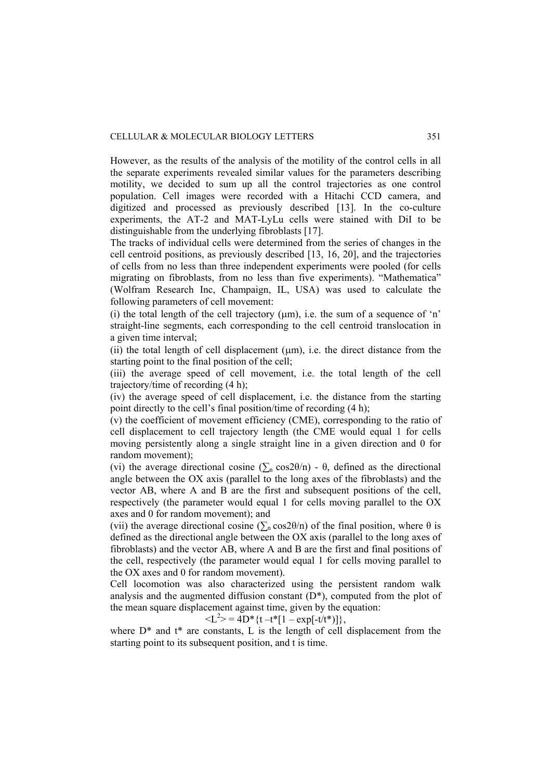However, as the results of the analysis of the motility of the control cells in all the separate experiments revealed similar values for the parameters describing motility, we decided to sum up all the control trajectories as one control population. Cell images were recorded with a Hitachi CCD camera, and digitized and processed as previously described [13]. In the co-culture experiments, the AT-2 and MAT-LyLu cells were stained with DiI to be distinguishable from the underlying fibroblasts [17].

The tracks of individual cells were determined from the series of changes in the cell centroid positions, as previously described [13, 16, 20], and the trajectories of cells from no less than three independent experiments were pooled (for cells migrating on fibroblasts, from no less than five experiments). "Mathematica" (Wolfram Research Inc, Champaign, IL, USA) was used to calculate the following parameters of cell movement:

(i) the total length of the cell trajectory  $(\mu m)$ , i.e. the sum of a sequence of 'n' straight-line segments, each corresponding to the cell centroid translocation in a given time interval;

(ii) the total length of cell displacement (μm), i.e. the direct distance from the starting point to the final position of the cell;

(iii) the average speed of cell movement, i.e. the total length of the cell trajectory/time of recording (4 h);

(iv) the average speed of cell displacement, i.e. the distance from the starting point directly to the cell's final position/time of recording (4 h);

(v) the coefficient of movement efficiency (CME), corresponding to the ratio of cell displacement to cell trajectory length (the CME would equal 1 for cells moving persistently along a single straight line in a given direction and 0 for random movement);

(vi) the average directional cosine  $(\sum_n \cos 2\theta/n)$  -  $\theta$ , defined as the directional angle between the OX axis (parallel to the long axes of the fibroblasts) and the vector AB, where A and B are the first and subsequent positions of the cell, respectively (the parameter would equal 1 for cells moving parallel to the OX axes and 0 for random movement); and

(vii) the average directional cosine  $(\sum_{n} cos 2\theta/n)$  of the final position, where  $\theta$  is defined as the directional angle between the OX axis (parallel to the long axes of fibroblasts) and the vector AB, where A and B are the first and final positions of the cell, respectively (the parameter would equal 1 for cells moving parallel to the OX axes and 0 for random movement).

Cell locomotion was also characterized using the persistent random walk analysis and the augmented diffusion constant  $(D^*)$ , computed from the plot of the mean square displacement against time, given by the equation:

 $\langle L^2 \rangle = 4D^* \{t - t^* [1 - \exp[-t/t^*)]\},$ 

where  $D^*$  and  $t^*$  are constants, L is the length of cell displacement from the starting point to its subsequent position, and t is time.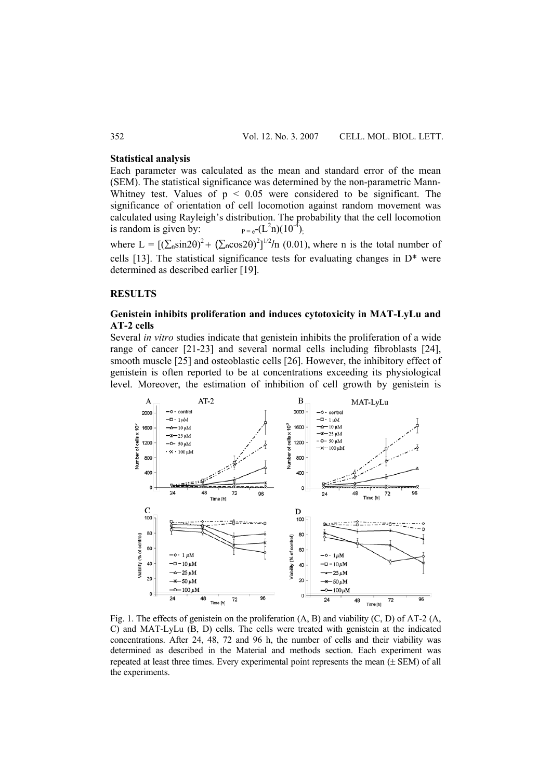### **Statistical analysis**

Each parameter was calculated as the mean and standard error of the mean (SEM). The statistical significance was determined by the non-parametric Mann-Whitney test. Values of  $p < 0.05$  were considered to be significant. The significance of orientation of cell locomotion against random movement was calculated using Rayleigh's distribution. The probability that the cell locomotion is random is given by:  $p=e^{-(L^2n)(10^{-4})}$ 

where  $L = [(\sum_{n} \sin 2\theta)^{2} + (\sum_{n} \cos 2\theta)^{2}]^{1/2}/n$  (0.01), where n is the total number of cells [13]. The statistical significance tests for evaluating changes in  $D^*$  were determined as described earlier [19].

#### **RESULTS**

## **Genistein inhibits proliferation and induces cytotoxicity in MAT-LyLu and AT-2 cells**

Several *in vitro* studies indicate that genistein inhibits the proliferation of a wide range of cancer [21-23] and several normal cells including fibroblasts [24], smooth muscle [25] and osteoblastic cells [26]. However, the inhibitory effect of genistein is often reported to be at concentrations exceeding its physiological level. Moreover, the estimation of inhibition of cell growth by genistein is



Fig. 1. The effects of genistein on the proliferation  $(A, B)$  and viability  $(C, D)$  of AT-2  $(A, D)$ C) and MAT-LyLu (B, D) cells. The cells were treated with genistein at the indicated concentrations. After 24, 48, 72 and 96 h, the number of cells and their viability was determined as described in the Material and methods section. Each experiment was repeated at least three times. Every experimental point represents the mean  $(\pm$  SEM) of all the experiments.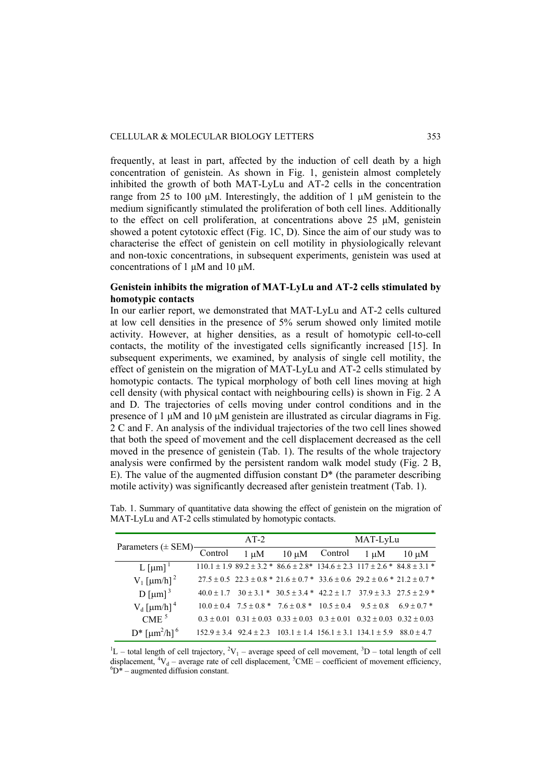frequently, at least in part, affected by the induction of cell death by a high concentration of genistein. As shown in Fig. 1, genistein almost completely inhibited the growth of both MAT-LyLu and AT-2 cells in the concentration range from 25 to 100 μM. Interestingly, the addition of 1 μM genistein to the medium significantly stimulated the proliferation of both cell lines. Additionally to the effect on cell proliferation, at concentrations above 25 μM, genistein showed a potent cytotoxic effect (Fig. 1C, D). Since the aim of our study was to characterise the effect of genistein on cell motility in physiologically relevant and non-toxic concentrations, in subsequent experiments, genistein was used at concentrations of 1 μM and 10 μM.

## **Genistein inhibits the migration of MAT-LyLu and AT-2 cells stimulated by homotypic contacts**

In our earlier report, we demonstrated that MAT-LyLu and AT-2 cells cultured at low cell densities in the presence of 5% serum showed only limited motile activity. However, at higher densities, as a result of homotypic cell-to-cell contacts, the motility of the investigated cells significantly increased [15]. In subsequent experiments, we examined, by analysis of single cell motility, the effect of genistein on the migration of MAT-LyLu and AT-2 cells stimulated by homotypic contacts. The typical morphology of both cell lines moving at high cell density (with physical contact with neighbouring cells) is shown in Fig. 2 A and D. The trajectories of cells moving under control conditions and in the presence of 1 μM and 10 μM genistein are illustrated as circular diagrams in Fig. 2 C and F. An analysis of the individual trajectories of the two cell lines showed that both the speed of movement and the cell displacement decreased as the cell moved in the presence of genistein (Tab. 1). The results of the whole trajectory analysis were confirmed by the persistent random walk model study (Fig. 2 B, E). The value of the augmented diffusion constant  $D^*$  (the parameter describing motile activity) was significantly decreased after genistein treatment (Tab. 1).

| Parameters $(\pm$ SEM)-                       | $AT-2$         |                                |                                                                                                   | MAT-LyLu |                                 |                |
|-----------------------------------------------|----------------|--------------------------------|---------------------------------------------------------------------------------------------------|----------|---------------------------------|----------------|
|                                               | Control        | $1 \mu M$                      | $10 \mu M$                                                                                        | Control  | 1 uM                            | $10 \mu M$     |
| L [µm] $1$                                    |                |                                | $110.1 \pm 1.989.2 \pm 3.2$ * $86.6 \pm 2.8$ * $134.6 \pm 2.3117 \pm 2.6$ * $84.8 \pm 3.1$ *      |          |                                 |                |
| $V_1$ [µm/h] <sup>2</sup>                     |                |                                | $27.5 \pm 0.5$ $22.3 \pm 0.8$ * $21.6 \pm 0.7$ * $33.6 \pm 0.6$ $29.2 \pm 0.6$ * $21.2 \pm 0.7$ * |          |                                 |                |
| $D$ [µm] <sup>3</sup>                         | $40.0 \pm 1.7$ |                                | $30 \pm 3.1$ * $30.5 \pm 3.4$ * $42.2 \pm 1.7$ $37.9 \pm 3.3$ $27.5 \pm 2.9$ *                    |          |                                 |                |
| $V_d$ [ $\mu$ m/h] <sup>4</sup>               |                |                                | $10.0 \pm 0.4$ $7.5 \pm 0.8$ * $7.6 \pm 0.8$ * $10.5 \pm 0.4$ $9.5 \pm 0.8$                       |          |                                 | $6.9 \pm 0.7*$ |
| CME <sup>5</sup>                              | $0.3 + 0.01$   |                                | $0.31 \pm 0.03$ $0.33 \pm 0.03$ $0.3 \pm 0.01$                                                    |          | $0.32 \pm 0.03$ $0.32 \pm 0.03$ |                |
| $D^*$ [ $\mu$ m <sup>2</sup> /h] <sup>6</sup> |                | $152.9 \pm 3.4$ $92.4 \pm 2.3$ | $103.1 \pm 1.4$ $156.1 \pm 3.1$ $134.1 \pm 5.9$                                                   |          |                                 | $880 + 47$     |

Tab. 1. Summary of quantitative data showing the effect of genistein on the migration of MAT-LyLu and AT-2 cells stimulated by homotypic contacts.

 ${}^{1}$ L – total length of cell trajectory,  ${}^{2}V_{1}$  – average speed of cell movement,  ${}^{3}D$  – total length of cell displacement,  ${}^{4}V_{d}$  – average rate of cell displacement,  ${}^{5}CME$  – coefficient of movement efficiency,  ${}^{6}D^*$  – augmented diffusion constant.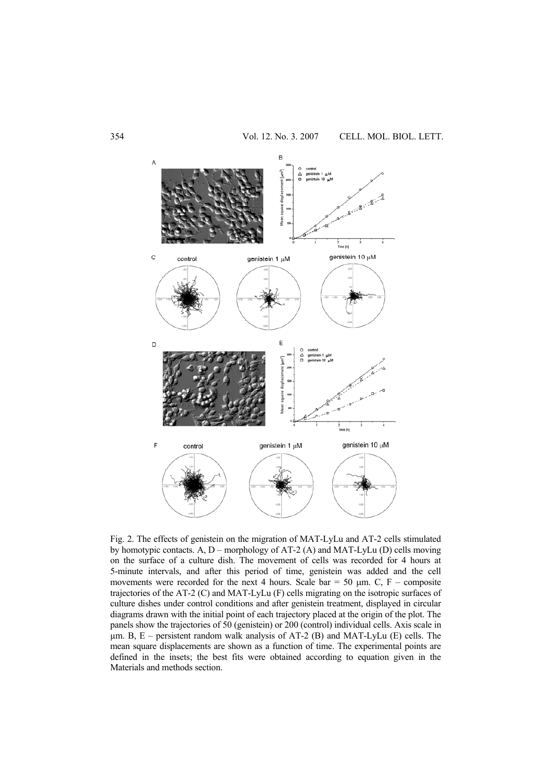

Fig. 2. The effects of genistein on the migration of MAT-LyLu and AT-2 cells stimulated by homotypic contacts. A, D – morphology of AT-2 (A) and MAT-LyLu (D) cells moving on the surface of a culture dish. The movement of cells was recorded for 4 hours at 5-minute intervals, and after this period of time, genistein was added and the cell movements were recorded for the next 4 hours. Scale bar = 50  $\mu$ m. C, F – composite trajectories of the AT-2 (C) and MAT-LyLu (F) cells migrating on the isotropic surfaces of culture dishes under control conditions and after genistein treatment, displayed in circular diagrams drawn with the initial point of each trajectory placed at the origin of the plot. The panels show the trajectories of 50 (genistein) or 200 (control) individual cells. Axis scale in  $\mu$ m. B, E – persistent random walk analysis of AT-2 (B) and MAT-LyLu (E) cells. The mean square displacements are shown as a function of time. The experimental points are defined in the insets; the best fits were obtained according to equation given in the Materials and methods section.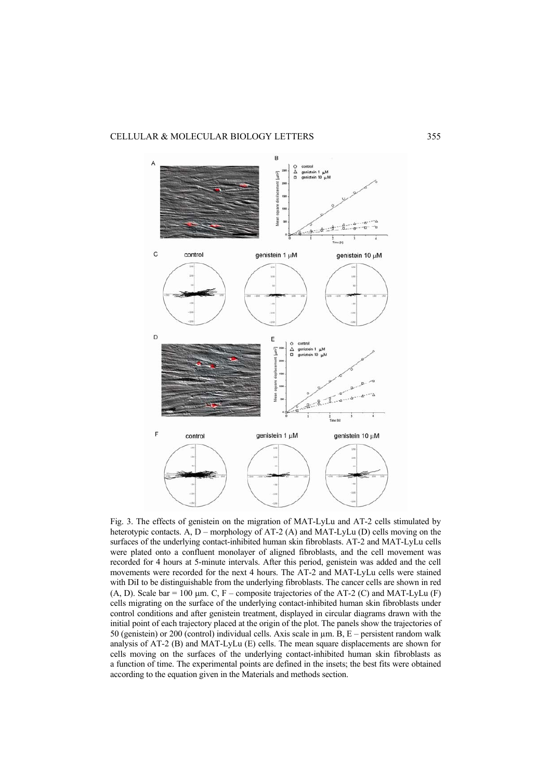

Fig. 3. The effects of genistein on the migration of MAT-LyLu and AT-2 cells stimulated by heterotypic contacts.  $\overrightarrow{A}$ ,  $D$  – morphology of AT-2 (A) and MAT-LyLu (D) cells moving on the surfaces of the underlying contact-inhibited human skin fibroblasts. AT-2 and MAT-LyLu cells were plated onto a confluent monolayer of aligned fibroblasts, and the cell movement was recorded for 4 hours at 5-minute intervals. After this period, genistein was added and the cell movements were recorded for the next 4 hours. The AT-2 and MAT-LyLu cells were stained with DiI to be distinguishable from the underlying fibroblasts. The cancer cells are shown in red (A, D). Scale bar = 100  $\mu$ m. C, F – composite trajectories of the AT-2 (C) and MAT-LyLu (F) cells migrating on the surface of the underlying contact-inhibited human skin fibroblasts under control conditions and after genistein treatment, displayed in circular diagrams drawn with the initial point of each trajectory placed at the origin of the plot. The panels show the trajectories of 50 (genistein) or 200 (control) individual cells. Axis scale in  $\mu$ m. B, E – persistent random walk analysis of AT-2 (B) and MAT-LyLu (E) cells. The mean square displacements are shown for cells moving on the surfaces of the underlying contact-inhibited human skin fibroblasts as a function of time. The experimental points are defined in the insets; the best fits were obtained according to the equation given in the Materials and methods section.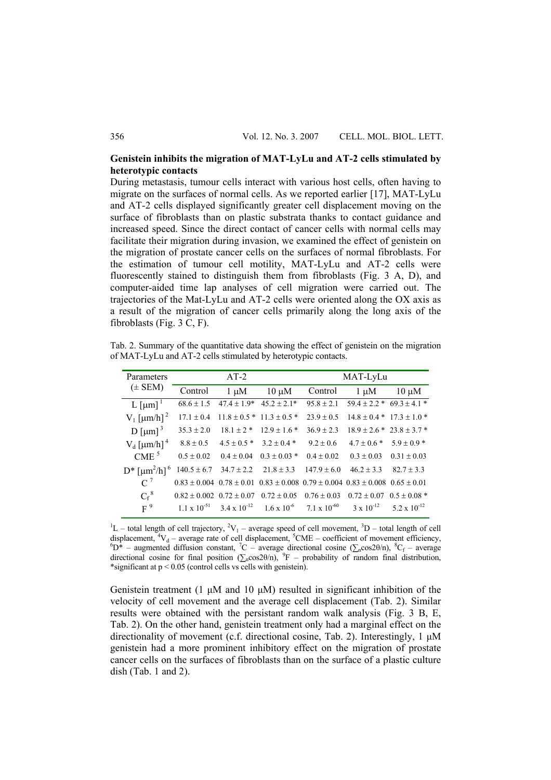## **Genistein inhibits the migration of MAT-LyLu and AT-2 cells stimulated by heterotypic contacts**

During metastasis, tumour cells interact with various host cells, often having to migrate on the surfaces of normal cells. As we reported earlier [17], MAT-LyLu and AT-2 cells displayed significantly greater cell displacement moving on the surface of fibroblasts than on plastic substrata thanks to contact guidance and increased speed. Since the direct contact of cancer cells with normal cells may facilitate their migration during invasion, we examined the effect of genistein on the migration of prostate cancer cells on the surfaces of normal fibroblasts. For the estimation of tumour cell motility, MAT-LyLu and AT-2 cells were fluorescently stained to distinguish them from fibroblasts (Fig. 3 A, D), and computer-aided time lap analyses of cell migration were carried out. The trajectories of the Mat-LyLu and AT-2 cells were oriented along the OX axis as a result of the migration of cancer cells primarily along the long axis of the fibroblasts (Fig. 3 C, F).

Tab. 2. Summary of the quantitative data showing the effect of genistein on the migration of MAT-LyLu and AT-2 cells stimulated by heterotypic contacts.

| Parameters                                    | $AT-2$                           |                       |                  | MAT-LyLu                                                                                            |                                   |                  |  |
|-----------------------------------------------|----------------------------------|-----------------------|------------------|-----------------------------------------------------------------------------------------------------|-----------------------------------|------------------|--|
| $(\pm$ SEM)                                   | Control                          | $1 \mu M$             | $10 \mu M$       | Control                                                                                             | $1 \mu M$                         | $10 \mu M$       |  |
| L [µm] $1$                                    | $68.6 \pm 1.5$                   | $47.4 \pm 1.9*$       | $45.2 \pm 2.1*$  | $95.8 \pm 2.1$                                                                                      | $59.4 \pm 2.2$ * $69.3 \pm 4.1$ * |                  |  |
| $V_1$ [µm/h] <sup>2</sup>                     | $17.1 \pm 0.4$                   | $11.8 \pm 0.5$ *      | $11.3 \pm 0.5$ * | $23.9 \pm 0.5$                                                                                      | $14.8 \pm 0.4 * 17.3 \pm 1.0 *$   |                  |  |
| $D$ [µm] <sup>3</sup>                         | $35.3 \pm 2.0$                   | $18.1 \pm 2$ *        | $12.9 \pm 1.6$ * | $36.9 \pm 2.3$                                                                                      | $18.9 \pm 2.6$ * $23.8 \pm 3.7$ * |                  |  |
| $V_d$ [ $\mu$ m/h] <sup>4</sup>               | $8.8 \pm 0.5$                    | $4.5 \pm 0.5*$        | $3.2 \pm 0.4*$   | $9.2 \pm 0.6$                                                                                       | $4.7 \pm 0.6$ * $5.9 \pm 0.9$ *   |                  |  |
| CME <sup>5</sup>                              | $0.5 \pm 0.02$                   | $0.4 \pm 0.04$        | $0.3 \pm 0.03$ * | $0.4 \pm 0.02$                                                                                      | $0.3 \pm 0.03$                    | $0.31 \pm 0.03$  |  |
| $D^*$ [ $\mu$ m <sup>2</sup> /h] <sup>6</sup> | $140.5 \pm 6.7$                  | $34.7 \pm 2.2$        | $21.8 \pm 3.3$   | $147.9 \pm 6.0$                                                                                     | $46.2 \pm 3.3$                    | $82.7 + 3.3$     |  |
| $C^7$                                         |                                  |                       |                  | $0.83 \pm 0.004$ $0.78 \pm 0.01$ $0.83 \pm 0.008$ $0.79 \pm 0.004$ $0.83 \pm 0.008$ $0.65 \pm 0.01$ |                                   |                  |  |
| $C_f^8$                                       | $0.82 \pm 0.002$ $0.72 \pm 0.07$ |                       | $0.72 \pm 0.05$  | $0.76 \pm 0.03$                                                                                     | $0.72 \pm 0.07$ $0.5 \pm 0.08$ *  |                  |  |
| $F^9$                                         | $1.1 \times 10^{-51}$            | $3.4 \times 10^{-12}$ |                  | $1.6 \times 10^{-6}$ 7.1 x 10 <sup>-60</sup> 3 x 10 <sup>-12</sup>                                  |                                   | 5 2 x $10^{-12}$ |  |

 ${}^{1}$ L – total length of cell trajectory,  ${}^{2}V_{1}$  – average speed of cell movement,  ${}^{3}D$  – total length of cell displacement,  ${}^{4}V_{d}$  – average rate of cell displacement,  ${}^{5}$ CME – coefficient of movement efficiency,  ${}^{6}N^{*}$  – average  ${}^{6}N^{*}$  – average directional action ( $S$  coe<sup>20</sup>/n),  ${}^{8}C$  – average  $D^*$  – augmented diffusion constant,  ${}^7C$  – average directional cosine ( $\sum n cos 2\theta/n$ ),  ${}^8C_f$  – average directional cosine for final position  $(\sum_{n} cos 2\theta/n)$ , <sup>9</sup>F – probability of random final distribution, \*significant at p < 0.05 (control cells vs cells with genistein).

Genistein treatment (1 μM and 10 μM) resulted in significant inhibition of the velocity of cell movement and the average cell displacement (Tab. 2). Similar results were obtained with the persistant random walk analysis (Fig. 3 B, E, Tab. 2). On the other hand, genistein treatment only had a marginal effect on the directionality of movement (c.f. directional cosine, Tab. 2). Interestingly, 1 μM genistein had a more prominent inhibitory effect on the migration of prostate cancer cells on the surfaces of fibroblasts than on the surface of a plastic culture dish (Tab. 1 and 2).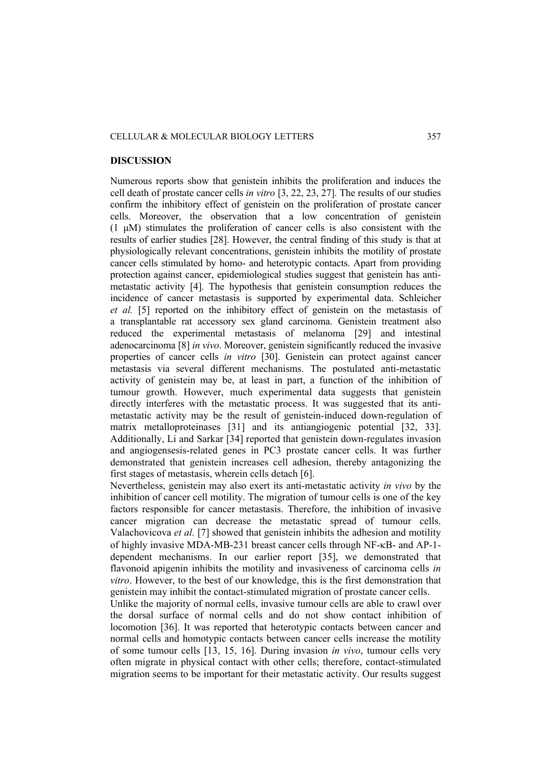## CELLULAR & MOLECULAR BIOLOGY LETTERS 357

#### **DISCUSSION**

Numerous reports show that genistein inhibits the proliferation and induces the cell death of prostate cancer cells *in vitro* [3, 22, 23, 27]. The results of our studies confirm the inhibitory effect of genistein on the proliferation of prostate cancer cells. Moreover, the observation that a low concentration of genistein (1 μM) stimulates the proliferation of cancer cells is also consistent with the results of earlier studies [28]. However, the central finding of this study is that at physiologically relevant concentrations, genistein inhibits the motility of prostate cancer cells stimulated by homo- and heterotypic contacts. Apart from providing protection against cancer, epidemiological studies suggest that genistein has antimetastatic activity [4]. The hypothesis that genistein consumption reduces the incidence of cancer metastasis is supported by experimental data. Schleicher *et al.* [5] reported on the inhibitory effect of genistein on the metastasis of a transplantable rat accessory sex gland carcinoma. Genistein treatment also reduced the experimental metastasis of melanoma [29] and intestinal adenocarcinoma [8] *in vivo*. Moreover, genistein significantly reduced the invasive properties of cancer cells *in vitro* [30]. Genistein can protect against cancer metastasis via several different mechanisms. The postulated anti-metastatic activity of genistein may be, at least in part, a function of the inhibition of tumour growth. However, much experimental data suggests that genistein directly interferes with the metastatic process. It was suggested that its antimetastatic activity may be the result of genistein-induced down-regulation of matrix metalloproteinases [31] and its antiangiogenic potential [32, 33]. Additionally, Li and Sarkar [34] reported that genistein down-regulates invasion and angiogensesis-related genes in PC3 prostate cancer cells. It was further demonstrated that genistein increases cell adhesion, thereby antagonizing the first stages of metastasis, wherein cells detach [6].

Nevertheless, genistein may also exert its anti-metastatic activity *in vivo* by the inhibition of cancer cell motility. The migration of tumour cells is one of the key factors responsible for cancer metastasis. Therefore, the inhibition of invasive cancer migration can decrease the metastatic spread of tumour cells. Valachovicova *et al.* [7] showed that genistein inhibits the adhesion and motility of highly invasive MDA-MB-231 breast cancer cells through NF-κB- and AP-1 dependent mechanisms. In our earlier report [35], we demonstrated that flavonoid apigenin inhibits the motility and invasiveness of carcinoma cells *in vitro*. However, to the best of our knowledge, this is the first demonstration that genistein may inhibit the contact-stimulated migration of prostate cancer cells.

Unlike the majority of normal cells, invasive tumour cells are able to crawl over the dorsal surface of normal cells and do not show contact inhibition of locomotion [36]. It was reported that heterotypic contacts between cancer and normal cells and homotypic contacts between cancer cells increase the motility of some tumour cells [13, 15, 16]. During invasion *in vivo*, tumour cells very often migrate in physical contact with other cells; therefore, contact-stimulated migration seems to be important for their metastatic activity. Our results suggest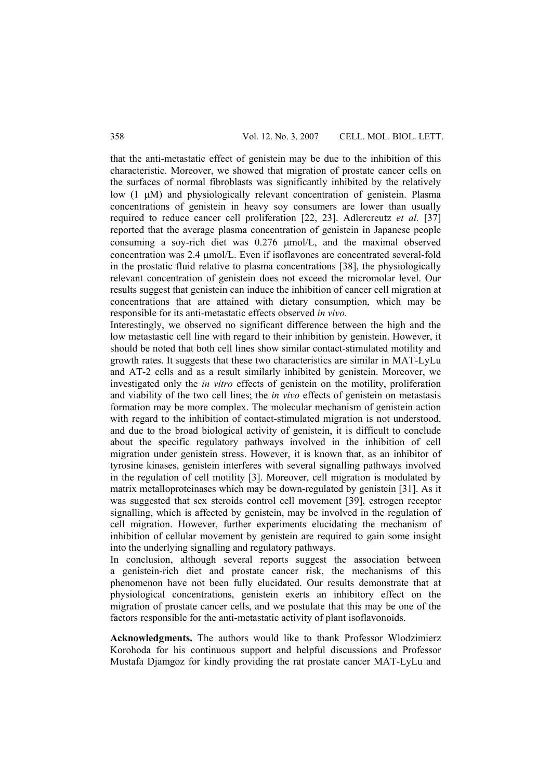that the anti-metastatic effect of genistein may be due to the inhibition of this characteristic. Moreover, we showed that migration of prostate cancer cells on the surfaces of normal fibroblasts was significantly inhibited by the relatively low (1 μM) and physiologically relevant concentration of genistein. Plasma concentrations of genistein in heavy soy consumers are lower than usually required to reduce cancer cell proliferation [22, 23]. Adlercreutz *et al.* [37] reported that the average plasma concentration of genistein in Japanese people consuming a soy-rich diet was 0.276 μmol/L, and the maximal observed concentration was 2.4 μmol/L. Even if isoflavones are concentrated several-fold in the prostatic fluid relative to plasma concentrations [38], the physiologically relevant concentration of genistein does not exceed the micromolar level. Our results suggest that genistein can induce the inhibition of cancer cell migration at concentrations that are attained with dietary consumption, which may be responsible for its anti-metastatic effects observed *in vivo.* 

Interestingly, we observed no significant difference between the high and the low metastastic cell line with regard to their inhibition by genistein. However, it should be noted that both cell lines show similar contact-stimulated motility and growth rates. It suggests that these two characteristics are similar in MAT-LyLu and AT-2 cells and as a result similarly inhibited by genistein. Moreover, we investigated only the *in vitro* effects of genistein on the motility, proliferation and viability of the two cell lines; the *in vivo* effects of genistein on metastasis formation may be more complex. The molecular mechanism of genistein action with regard to the inhibition of contact-stimulated migration is not understood, and due to the broad biological activity of genistein, it is difficult to conclude about the specific regulatory pathways involved in the inhibition of cell migration under genistein stress. However, it is known that, as an inhibitor of tyrosine kinases, genistein interferes with several signalling pathways involved in the regulation of cell motility [3]. Moreover, cell migration is modulated by matrix metalloproteinases which may be down-regulated by genistein [31]. As it was suggested that sex steroids control cell movement [39], estrogen receptor signalling, which is affected by genistein, may be involved in the regulation of cell migration. However, further experiments elucidating the mechanism of inhibition of cellular movement by genistein are required to gain some insight into the underlying signalling and regulatory pathways.

In conclusion, although several reports suggest the association between a genistein-rich diet and prostate cancer risk, the mechanisms of this phenomenon have not been fully elucidated. Our results demonstrate that at physiological concentrations, genistein exerts an inhibitory effect on the migration of prostate cancer cells, and we postulate that this may be one of the factors responsible for the anti-metastatic activity of plant isoflavonoids.

**Acknowledgments.** The authors would like to thank Professor Wlodzimierz Korohoda for his continuous support and helpful discussions and Professor Mustafa Djamgoz for kindly providing the rat prostate cancer MAT-LyLu and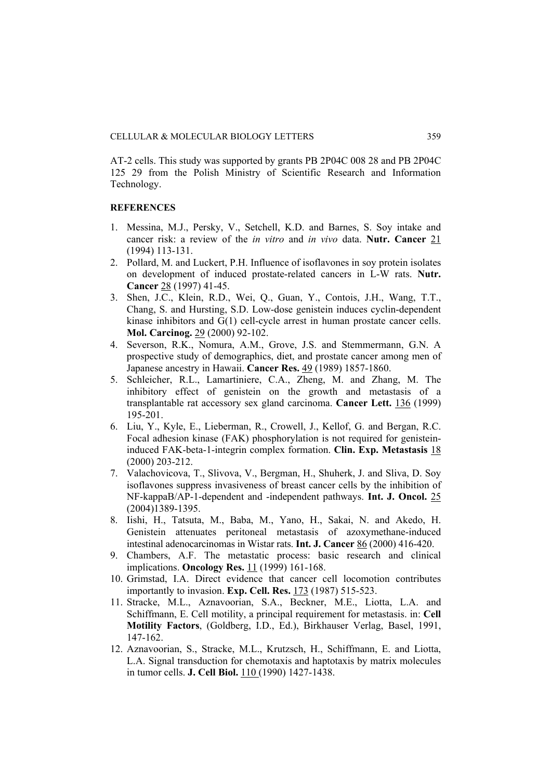AT-2 cells. This study was supported by grants PB 2P04C 008 28 and PB 2P04C 125 29 from the Polish Ministry of Scientific Research and Information Technology.

# **REFERENCES**

- 1. Messina, M.J., Persky, V., Setchell, K.D. and Barnes, S. Soy intake and cancer risk: a review of the *in vitro* and *in vivo* data. **Nutr. Cancer** 21 (1994) 113-131.
- 2. Pollard, M. and Luckert, P.H. Influence of isoflavones in soy protein isolates on development of induced prostate-related cancers in L-W rats. **Nutr. Cancer** 28 (1997) 41-45.
- 3. Shen, J.C., Klein, R.D., Wei, Q., Guan, Y., Contois, J.H., Wang, T.T., Chang, S. and Hursting, S.D. Low-dose genistein induces cyclin-dependent kinase inhibitors and G(1) cell-cycle arrest in human prostate cancer cells. **Mol. Carcinog.** 29 (2000) 92-102.
- 4. Severson, R.K., Nomura, A.M., Grove, J.S. and Stemmermann, G.N. A prospective study of demographics, diet, and prostate cancer among men of Japanese ancestry in Hawaii. **Cancer Res.** 49 (1989) 1857-1860.
- 5. Schleicher, R.L., Lamartiniere, C.A., Zheng, M. and Zhang, M. The inhibitory effect of genistein on the growth and metastasis of a transplantable rat accessory sex gland carcinoma. **Cancer Lett.** 136 (1999) 195-201.
- 6. Liu, Y., Kyle, E., Lieberman, R., Crowell, J., Kellof, G. and Bergan, R.C. Focal adhesion kinase (FAK) phosphorylation is not required for genisteininduced FAK-beta-1-integrin complex formation. **Clin. Exp. Metastasis** 18 (2000) 203-212.
- 7. Valachovicova, T., Slivova, V., Bergman, H., Shuherk, J. and Sliva, D. Soy isoflavones suppress invasiveness of breast cancer cells by the inhibition of NF-kappaB/AP-1-dependent and -independent pathways. **Int. J. Oncol.** 25 (2004)1389-1395.
- 8. Iishi, H., Tatsuta, M., Baba, M., Yano, H., Sakai, N. and Akedo, H. Genistein attenuates peritoneal metastasis of azoxymethane-induced intestinal adenocarcinomas in Wistar rats. **Int. J. Cancer** 86 (2000) 416-420.
- 9. Chambers, A.F. The metastatic process: basic research and clinical implications. **Oncology Res.** 11 (1999) 161-168.
- 10. Grimstad, I.A. Direct evidence that cancer cell locomotion contributes importantly to invasion. **Exp. Cell. Res.** 173 (1987) 515-523.
- 11. Stracke, M.L., Aznavoorian, S.A., Beckner, M.E., Liotta, L.A. and Schiffmann, E. Cell motility, a principal requirement for metastasis. in: **Cell Motility Factors**, (Goldberg, I.D., Ed.), Birkhauser Verlag, Basel, 1991, 147-162.
- 12. Aznavoorian, S., Stracke, M.L., Krutzsch, H., Schiffmann, E. and Liotta, L.A. Signal transduction for chemotaxis and haptotaxis by matrix molecules in tumor cells. **J. Cell Biol.** 110 (1990) 1427-1438.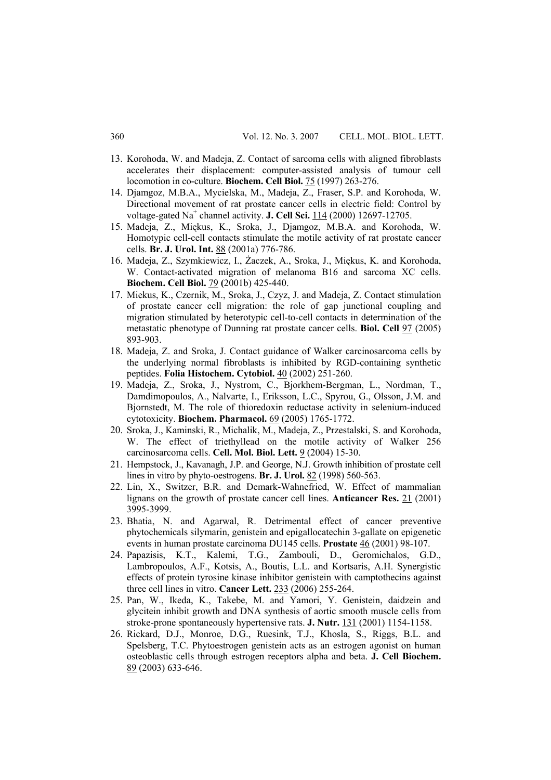- 13. Korohoda, W. and Madeja, Z. Contact of sarcoma cells with aligned fibroblasts accelerates their displacement: computer-assisted analysis of tumour cell locomotion in co-culture. **Biochem. Cell Biol.** 75 (1997) 263-276.
- 14. Djamgoz, M.B.A., Mycielska, M., Madeja, Z., Fraser, S.P. and Korohoda, W. Directional movement of rat prostate cancer cells in electric field: Control by voltage-gated Na<sup>+</sup> channel activity. **J. Cell Sci.** 114 (2000) 12697-12705.
- 15. Madeja, Z., Miękus, K., Sroka, J., Djamgoz, M.B.A. and Korohoda, W. Homotypic cell-cell contacts stimulate the motile activity of rat prostate cancer cells. **Br. J. Urol. Int.** 88 (2001a) 776-786.
- 16. Madeja, Z., Szymkiewicz, I., Żaczek, A., Sroka, J., Miękus, K. and Korohoda, W. Contact-activated migration of melanoma B16 and sarcoma XC cells. **Biochem. Cell Biol.** 79 **(**2001b) 425-440.
- 17. Miekus, K., Czernik, M., Sroka, J., Czyz, J. and Madeja, Z. Contact stimulation of prostate cancer cell migration: the role of gap junctional coupling and migration stimulated by heterotypic cell-to-cell contacts in determination of the metastatic phenotype of Dunning rat prostate cancer cells. **Biol. Cell** 97 (2005) 893-903.
- 18. Madeja, Z. and Sroka, J. Contact guidance of Walker carcinosarcoma cells by the underlying normal fibroblasts is inhibited by RGD-containing synthetic peptides. **Folia Histochem. Cytobiol.** 40 (2002) 251-260.
- 19. Madeja, Z., Sroka, J., Nystrom, C., Bjorkhem-Bergman, L., Nordman, T., Damdimopoulos, A., Nalvarte, I., Eriksson, L.C., Spyrou, G., Olsson, J.M. and Bjornstedt, M. The role of thioredoxin reductase activity in selenium-induced cytotoxicity. **Biochem. Pharmacol.** 69 (2005) 1765-1772.
- 20. Sroka, J., Kaminski, R., Michalik, M., Madeja, Z., Przestalski, S. and Korohoda, W. The effect of triethyllead on the motile activity of Walker 256 carcinosarcoma cells. **Cell. Mol. Biol. Lett.** 9 (2004) 15-30.
- 21. Hempstock, J., Kavanagh, J.P. and George, N.J. Growth inhibition of prostate cell lines in vitro by phyto-oestrogens. **Br. J. Urol.** 82 (1998) 560-563.
- 22. Lin, X., Switzer, B.R. and Demark-Wahnefried, W. Effect of mammalian lignans on the growth of prostate cancer cell lines. **Anticancer Res.** 21 (2001) 3995-3999.
- 23. Bhatia, N. and Agarwal, R. Detrimental effect of cancer preventive phytochemicals silymarin, genistein and epigallocatechin 3-gallate on epigenetic events in human prostate carcinoma DU145 cells. **Prostate** 46 (2001) 98-107.
- 24. Papazisis, K.T., Kalemi, T.G., Zambouli, D., Geromichalos, G.D., Lambropoulos, A.F., Kotsis, A., Boutis, L.L. and Kortsaris, A.H. Synergistic effects of protein tyrosine kinase inhibitor genistein with camptothecins against three cell lines in vitro. **Cancer Lett.** 233 (2006) 255-264.
- 25. Pan, W., Ikeda, K., Takebe, M. and Yamori, Y. Genistein, daidzein and glycitein inhibit growth and DNA synthesis of aortic smooth muscle cells from stroke-prone spontaneously hypertensive rats. **J. Nutr.** 131 (2001) 1154-1158.
- 26. Rickard, D.J., Monroe, D.G., Ruesink, T.J., Khosla, S., Riggs, B.L. and Spelsberg, T.C. Phytoestrogen genistein acts as an estrogen agonist on human osteoblastic cells through estrogen receptors alpha and beta. **J. Cell Biochem.** 89 (2003) 633-646.